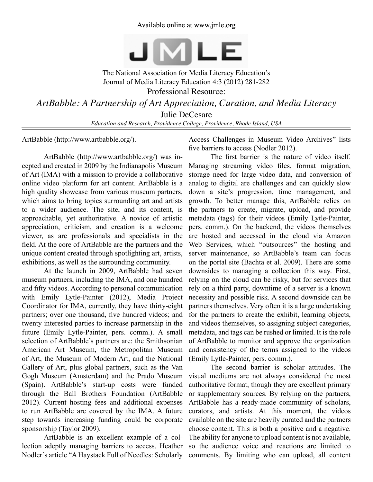## Available online at www.jmle.org



The National Association for Media Literacy Education's Journal of Media Literacy Education 4:3 (2012) 281-282 Professional Resource: *ArtBabble: A Partnership of Art Appreciation, Curation, and Media Literacy* Julie DeCesare

*Education and Research, Providence College, Providence, Rhode Island, USA*

ArtBabble (http://www.artbabble.org/).

ArtBabble (http://www.artbabble.org/) was incepted and created in 2009 by the Indianapolis Museum of Art (IMA) with a mission to provide a collaborative online video platform for art content. ArtBabble is a high quality showcase from various museum partners, which aims to bring topics surrounding art and artists to a wider audience. The site, and its content, is approachable, yet authoritative. A novice of artistic appreciation, criticism, and creation is a welcome viewer, as are professionals and specialists in the field. At the core of ArtBabble are the partners and the unique content created through spotlighting art, artists, exhibitions, as well as the surrounding community.

At the launch in 2009, ArtBabble had seven museum partners, including the IMA, and one hundred and fifty videos. According to personal communication with Emily Lytle-Painter (2012), Media Project Coordinator for IMA, currently, they have thirty-eight partners; over one thousand, five hundred videos; and twenty interested parties to increase partnership in the future (Emily Lytle-Painter, pers. comm.). A small selection of ArtBabble's partners are: the Smithsonian American Art Museum, the Metropolitan Museum of Art, the Museum of Modern Art, and the National Gallery of Art, plus global partners, such as the Van Gogh Museum (Amsterdam) and the Prado Museum (Spain). ArtBabble's start-up costs were funded through the Ball Brothers Foundation (ArtBabble 2012). Current hosting fees and additional expenses to run ArtBabble are covered by the IMA. A future step towards increasing funding could be corporate sponsorship (Taylor 2009).

ArtBabble is an excellent example of a collection adeptly managing barriers to access. Heather Nodler's article "A Haystack Full of Needles: Scholarly

Access Challenges in Museum Video Archives" lists five barriers to access (Nodler 2012).

The first barrier is the nature of video itself. Managing streaming video files, format migration, storage need for large video data, and conversion of analog to digital are challenges and can quickly slow down a site's progression, time management, and growth. To better manage this, ArtBabble relies on the partners to create, migrate, upload, and provide metadata (tags) for their videos (Emily Lytle-Painter, pers. comm.). On the backend, the videos themselves are hosted and accessed in the cloud via Amazon Web Services, which "outsources" the hosting and server maintenance, so ArtBabble's team can focus on the portal site (Bachta et al. 2009). There are some downsides to managing a collection this way. First, relying on the cloud can be risky, but for services that rely on a third party, downtime of a server is a known necessity and possible risk. A second downside can be partners themselves. Very often it is a large undertaking for the partners to create the exhibit, learning objects, and videos themselves, so assigning subject categories, metadata, and tags can be rushed or limited. It is the role of ArtBabble to monitor and approve the organization and consistency of the terms assigned to the videos (Emily Lytle-Painter, pers. comm.).

The second barrier is scholar attitudes. The visual mediums are not always considered the most authoritative format, though they are excellent primary or supplementary sources. By relying on the partners, ArtBabble has a ready-made community of scholars, curators, and artists. At this moment, the videos available on the site are heavily curated and the partners choose content. This is both a positive and a negative. The ability for anyone to upload content is not available, so the audience voice and reactions are limited to comments. By limiting who can upload, all content